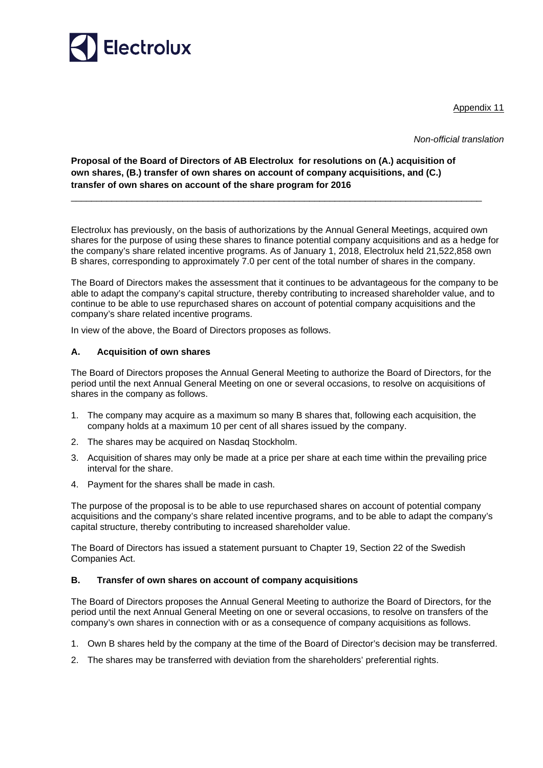

Appendix 11

*Non-official translation* 

# **Proposal of the Board of Directors of AB Electrolux for resolutions on (A.) acquisition of own shares, (B.) transfer of own shares on account of company acquisitions, and (C.) transfer of own shares on account of the share program for 2016**

\_\_\_\_\_\_\_\_\_\_\_\_\_\_\_\_\_\_\_\_\_\_\_\_\_\_\_\_\_\_\_\_\_\_\_\_\_\_\_\_\_\_\_\_\_\_\_\_\_\_\_\_\_\_\_\_\_\_\_\_\_\_\_\_\_\_\_\_\_\_\_\_\_\_\_\_\_\_\_\_\_

Electrolux has previously, on the basis of authorizations by the Annual General Meetings, acquired own shares for the purpose of using these shares to finance potential company acquisitions and as a hedge for the company's share related incentive programs. As of January 1, 2018, Electrolux held 21,522,858 own B shares, corresponding to approximately 7.0 per cent of the total number of shares in the company.

The Board of Directors makes the assessment that it continues to be advantageous for the company to be able to adapt the company's capital structure, thereby contributing to increased shareholder value, and to continue to be able to use repurchased shares on account of potential company acquisitions and the company's share related incentive programs.

In view of the above, the Board of Directors proposes as follows.

## **A. Acquisition of own shares**

The Board of Directors proposes the Annual General Meeting to authorize the Board of Directors, for the period until the next Annual General Meeting on one or several occasions, to resolve on acquisitions of shares in the company as follows.

- 1. The company may acquire as a maximum so many B shares that, following each acquisition, the company holds at a maximum 10 per cent of all shares issued by the company.
- 2. The shares may be acquired on Nasdaq Stockholm.
- 3. Acquisition of shares may only be made at a price per share at each time within the prevailing price interval for the share.
- 4. Payment for the shares shall be made in cash.

The purpose of the proposal is to be able to use repurchased shares on account of potential company acquisitions and the company's share related incentive programs, and to be able to adapt the company's capital structure, thereby contributing to increased shareholder value.

The Board of Directors has issued a statement pursuant to Chapter 19, Section 22 of the Swedish Companies Act.

## **B. Transfer of own shares on account of company acquisitions**

The Board of Directors proposes the Annual General Meeting to authorize the Board of Directors, for the period until the next Annual General Meeting on one or several occasions, to resolve on transfers of the company's own shares in connection with or as a consequence of company acquisitions as follows.

- 1. Own B shares held by the company at the time of the Board of Director's decision may be transferred.
- 2. The shares may be transferred with deviation from the shareholders' preferential rights.